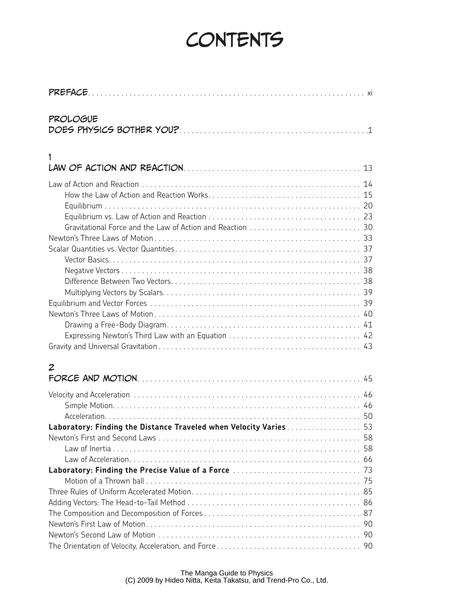## **CONTENTS**

| <b>PROLOGUE</b>                                                   |  |
|-------------------------------------------------------------------|--|
|                                                                   |  |
| 1                                                                 |  |
|                                                                   |  |
|                                                                   |  |
|                                                                   |  |
|                                                                   |  |
|                                                                   |  |
|                                                                   |  |
|                                                                   |  |
|                                                                   |  |
|                                                                   |  |
|                                                                   |  |
|                                                                   |  |
|                                                                   |  |
|                                                                   |  |
|                                                                   |  |
|                                                                   |  |
|                                                                   |  |
|                                                                   |  |
| 2                                                                 |  |
|                                                                   |  |
|                                                                   |  |
|                                                                   |  |
|                                                                   |  |
| Laboratory: Finding the Distance Traveled when Velocity Varies 53 |  |
|                                                                   |  |
|                                                                   |  |
|                                                                   |  |
|                                                                   |  |
|                                                                   |  |
|                                                                   |  |
|                                                                   |  |
|                                                                   |  |
|                                                                   |  |
|                                                                   |  |
|                                                                   |  |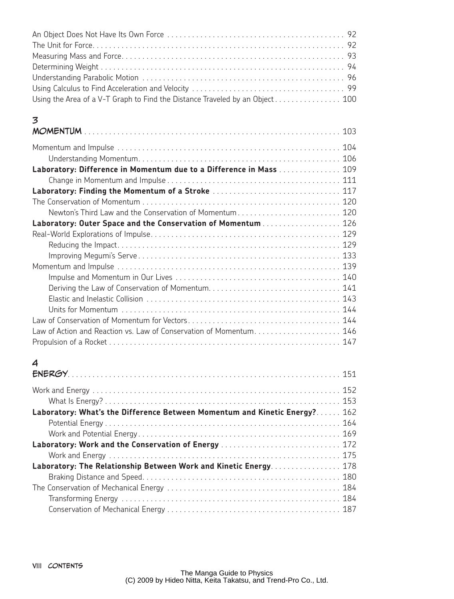| Using the Area of a V-T Graph to Find the Distance Traveled by an Object 100 |  |
|------------------------------------------------------------------------------|--|

## 3

| Laboratory: Difference in Momentum due to a Difference in Mass 109 |
|--------------------------------------------------------------------|
|                                                                    |
| Laboratory: Finding the Momentum of a Stroke  117                  |
|                                                                    |
| Newton's Third Law and the Conservation of Momentum 120            |
| Laboratory: Outer Space and the Conservation of Momentum 126       |
|                                                                    |
|                                                                    |
|                                                                    |
|                                                                    |
|                                                                    |
|                                                                    |
|                                                                    |
|                                                                    |
|                                                                    |
| Law of Action and Reaction vs. Law of Conservation of Momentum 146 |
|                                                                    |

## 4

| Laboratory: What's the Difference Between Momentum and Kinetic Energy? 162 |  |
|----------------------------------------------------------------------------|--|
|                                                                            |  |
|                                                                            |  |
| Laboratory: Work and the Conservation of Energy  172                       |  |
|                                                                            |  |
| Laboratory: The Relationship Between Work and Kinetic Energy 178           |  |
|                                                                            |  |
|                                                                            |  |
|                                                                            |  |
|                                                                            |  |